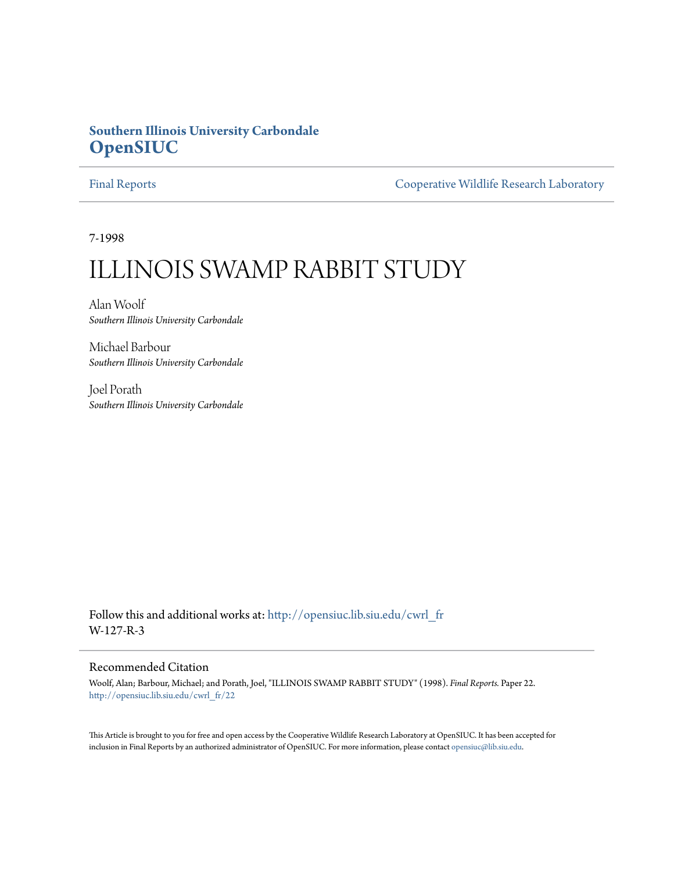# **Southern Illinois University Carbondale [OpenSIUC](http://opensiuc.lib.siu.edu?utm_source=opensiuc.lib.siu.edu%2Fcwrl_fr%2F22&utm_medium=PDF&utm_campaign=PDFCoverPages)**

[Final Reports](http://opensiuc.lib.siu.edu/cwrl_fr?utm_source=opensiuc.lib.siu.edu%2Fcwrl_fr%2F22&utm_medium=PDF&utm_campaign=PDFCoverPages) [Cooperative Wildlife Research Laboratory](http://opensiuc.lib.siu.edu/cwrl?utm_source=opensiuc.lib.siu.edu%2Fcwrl_fr%2F22&utm_medium=PDF&utm_campaign=PDFCoverPages)

7-1998

# ILLINOIS SWAMP RABBIT STUDY

Alan Woolf *Southern Illinois University Carbondale*

Michael Barbour *Southern Illinois University Carbondale*

Joel Porath *Southern Illinois University Carbondale*

Follow this and additional works at: [http://opensiuc.lib.siu.edu/cwrl\\_fr](http://opensiuc.lib.siu.edu/cwrl_fr?utm_source=opensiuc.lib.siu.edu%2Fcwrl_fr%2F22&utm_medium=PDF&utm_campaign=PDFCoverPages) W-127-R-3

#### Recommended Citation

Woolf, Alan; Barbour, Michael; and Porath, Joel, "ILLINOIS SWAMP RABBIT STUDY" (1998). *Final Reports.* Paper 22. [http://opensiuc.lib.siu.edu/cwrl\\_fr/22](http://opensiuc.lib.siu.edu/cwrl_fr/22?utm_source=opensiuc.lib.siu.edu%2Fcwrl_fr%2F22&utm_medium=PDF&utm_campaign=PDFCoverPages)

This Article is brought to you for free and open access by the Cooperative Wildlife Research Laboratory at OpenSIUC. It has been accepted for inclusion in Final Reports by an authorized administrator of OpenSIUC. For more information, please contact [opensiuc@lib.siu.edu](mailto:opensiuc@lib.siu.edu).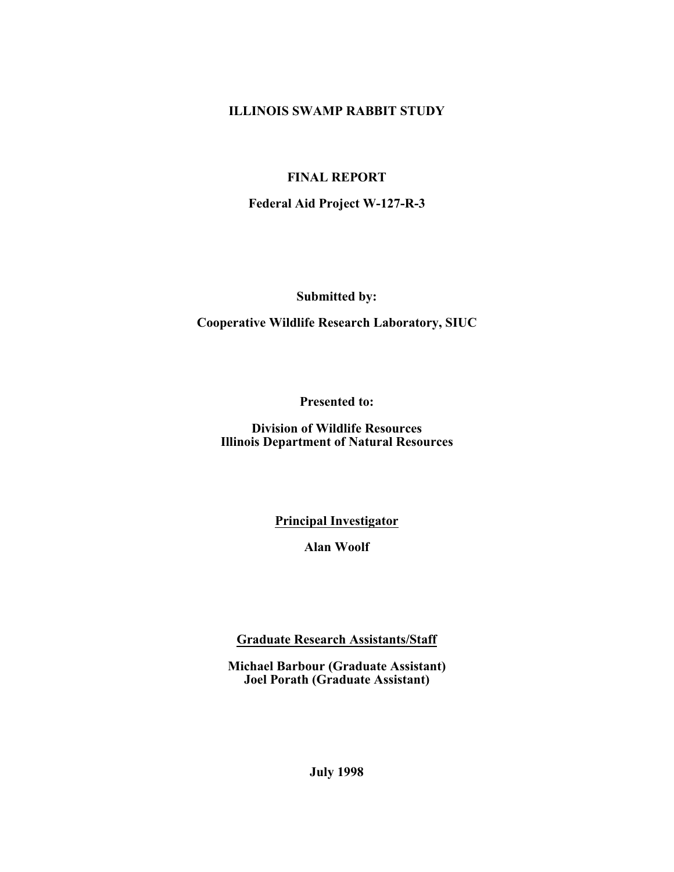### **ILLINOIS SWAMP RABBIT STUDY**

## **FINAL REPORT**

**Federal Aid Project W-127-R-3**

**Submitted by:**

**Cooperative Wildlife Research Laboratory, SIUC**

**Presented to:**

**Division of Wildlife Resources Illinois Department of Natural Resources**

**Principal Investigator**

**Alan Woolf**

**Graduate Research Assistants/Staff**

**Michael Barbour (Graduate Assistant) Joel Porath (Graduate Assistant)**

**July 1998**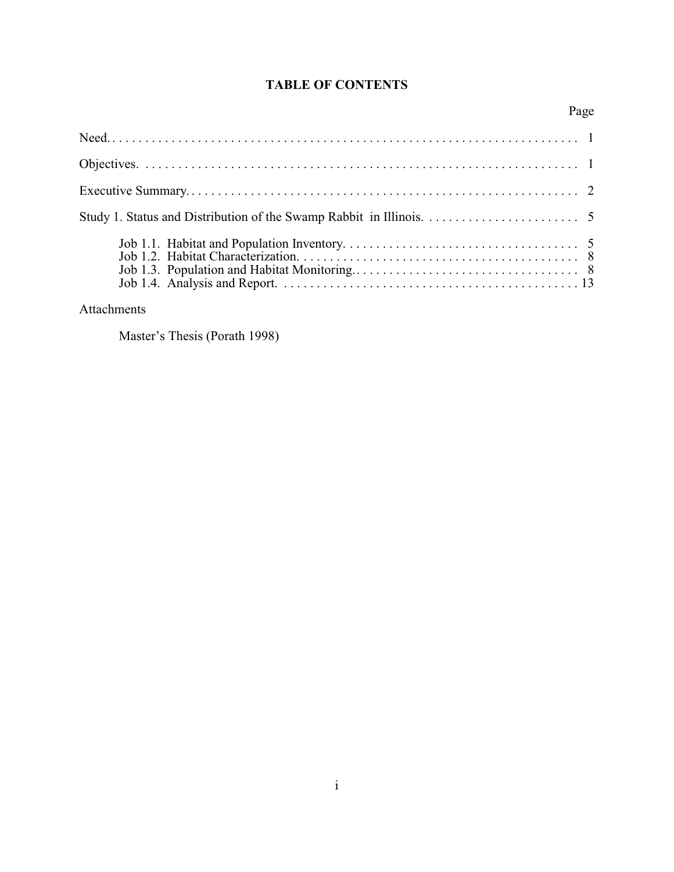# **TABLE OF CONTENTS**

# Page

# Attachments

Master's Thesis (Porath 1998)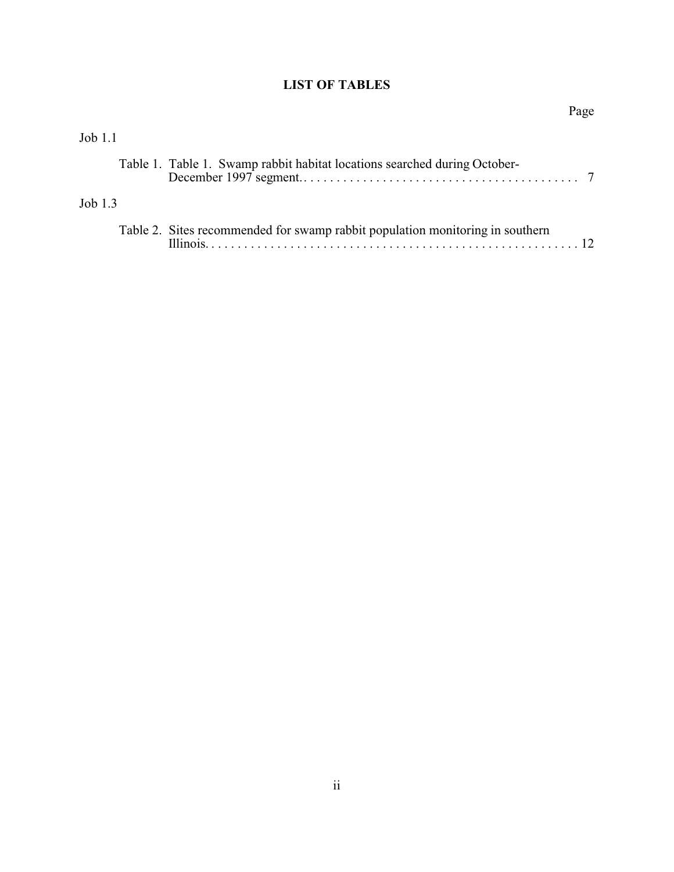# **LIST OF TABLES**

|           |                                                                               | Page |
|-----------|-------------------------------------------------------------------------------|------|
| Job 1.1   |                                                                               |      |
|           | Table 1. Table 1. Swamp rabbit habitat locations searched during October-     |      |
| Job $1.3$ |                                                                               |      |
|           | Table 2. Sites recommended for swamp rabbit population monitoring in southern |      |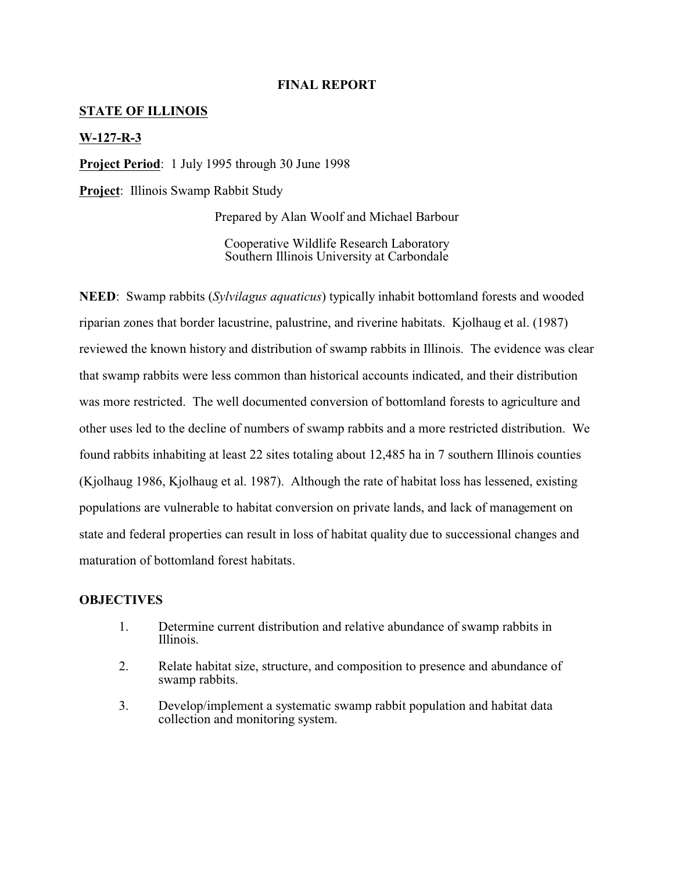#### **FINAL REPORT**

#### **STATE OF ILLINOIS**

#### **W-127-R-3**

**Project Period**: 1 July 1995 through 30 June 1998

**Project**: Illinois Swamp Rabbit Study

Prepared by Alan Woolf and Michael Barbour

Cooperative Wildlife Research Laboratory Southern Illinois University at Carbondale

**NEED**: Swamp rabbits (*Sylvilagus aquaticus*) typically inhabit bottomland forests and wooded riparian zones that border lacustrine, palustrine, and riverine habitats. Kjolhaug et al. (1987) reviewed the known history and distribution of swamp rabbits in Illinois. The evidence was clear that swamp rabbits were less common than historical accounts indicated, and their distribution was more restricted. The well documented conversion of bottomland forests to agriculture and other uses led to the decline of numbers of swamp rabbits and a more restricted distribution. We found rabbits inhabiting at least 22 sites totaling about 12,485 ha in 7 southern Illinois counties (Kjolhaug 1986, Kjolhaug et al. 1987). Although the rate of habitat loss has lessened, existing populations are vulnerable to habitat conversion on private lands, and lack of management on state and federal properties can result in loss of habitat quality due to successional changes and maturation of bottomland forest habitats.

#### **OBJECTIVES**

- 1. Determine current distribution and relative abundance of swamp rabbits in Illinois.
- 2. Relate habitat size, structure, and composition to presence and abundance of swamp rabbits.
- 3. Develop/implement a systematic swamp rabbit population and habitat data collection and monitoring system.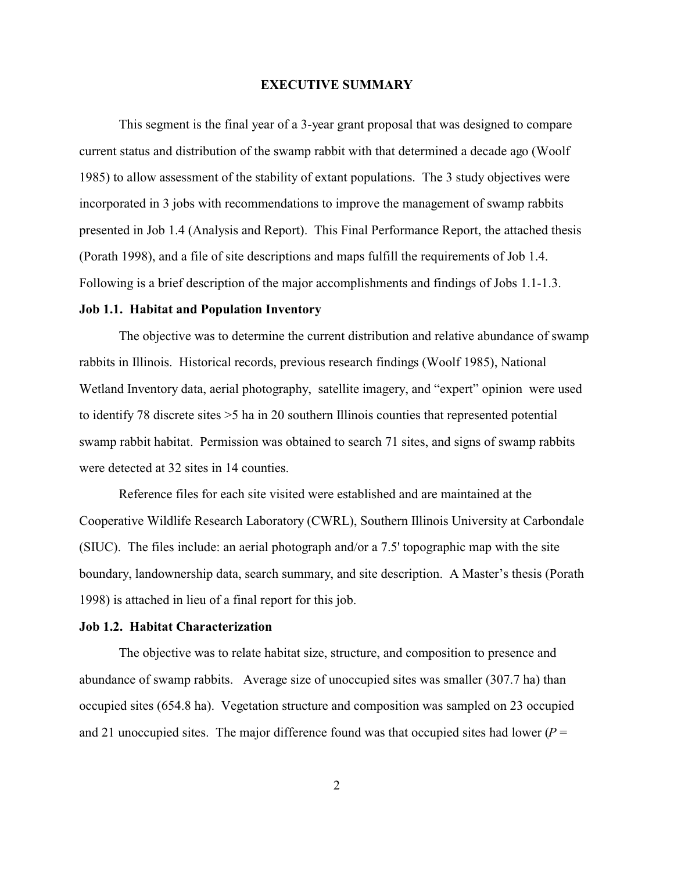#### **EXECUTIVE SUMMARY**

This segment is the final year of a 3-year grant proposal that was designed to compare current status and distribution of the swamp rabbit with that determined a decade ago (Woolf 1985) to allow assessment of the stability of extant populations. The 3 study objectives were incorporated in 3 jobs with recommendations to improve the management of swamp rabbits presented in Job 1.4 (Analysis and Report). This Final Performance Report, the attached thesis (Porath 1998), and a file of site descriptions and maps fulfill the requirements of Job 1.4. Following is a brief description of the major accomplishments and findings of Jobs 1.1-1.3.

#### **Job 1.1. Habitat and Population Inventory**

The objective was to determine the current distribution and relative abundance of swamp rabbits in Illinois. Historical records, previous research findings (Woolf 1985), National Wetland Inventory data, aerial photography, satellite imagery, and "expert" opinion were used to identify 78 discrete sites >5 ha in 20 southern Illinois counties that represented potential swamp rabbit habitat. Permission was obtained to search 71 sites, and signs of swamp rabbits were detected at 32 sites in 14 counties.

Reference files for each site visited were established and are maintained at the Cooperative Wildlife Research Laboratory (CWRL), Southern Illinois University at Carbondale (SIUC). The files include: an aerial photograph and/or a 7.5' topographic map with the site boundary, landownership data, search summary, and site description. A Master's thesis (Porath 1998) is attached in lieu of a final report for this job.

#### **Job 1.2. Habitat Characterization**

The objective was to relate habitat size, structure, and composition to presence and abundance of swamp rabbits. Average size of unoccupied sites was smaller (307.7 ha) than occupied sites (654.8 ha). Vegetation structure and composition was sampled on 23 occupied and 21 unoccupied sites. The major difference found was that occupied sites had lower ( $P =$ 

2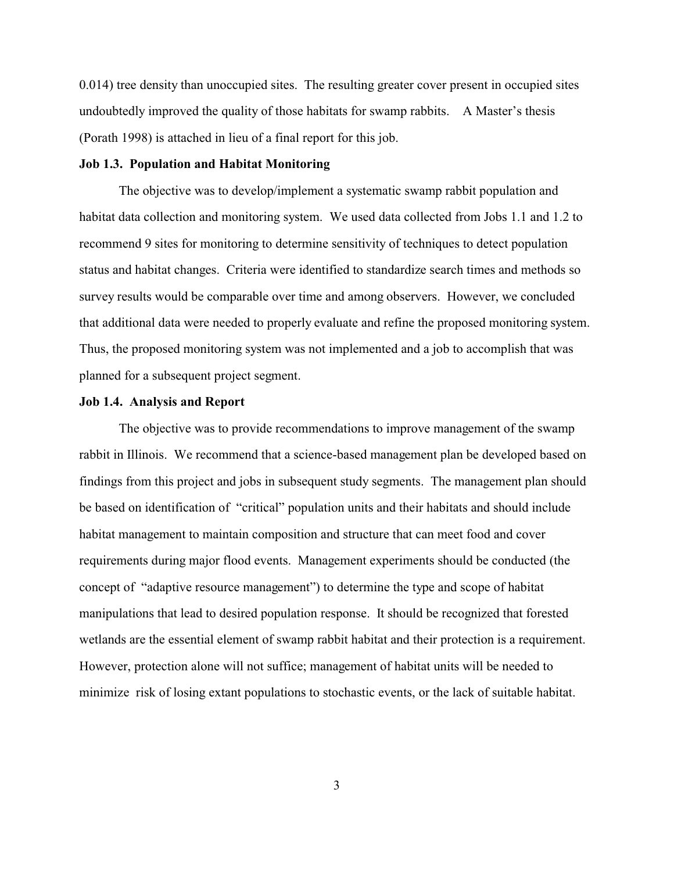0.014) tree density than unoccupied sites. The resulting greater cover present in occupied sites undoubtedly improved the quality of those habitats for swamp rabbits. A Master's thesis (Porath 1998) is attached in lieu of a final report for this job.

#### **Job 1.3. Population and Habitat Monitoring**

The objective was to develop/implement a systematic swamp rabbit population and habitat data collection and monitoring system. We used data collected from Jobs 1.1 and 1.2 to recommend 9 sites for monitoring to determine sensitivity of techniques to detect population status and habitat changes. Criteria were identified to standardize search times and methods so survey results would be comparable over time and among observers. However, we concluded that additional data were needed to properly evaluate and refine the proposed monitoring system. Thus, the proposed monitoring system was not implemented and a job to accomplish that was planned for a subsequent project segment.

#### **Job 1.4. Analysis and Report**

The objective was to provide recommendations to improve management of the swamp rabbit in Illinois. We recommend that a science-based management plan be developed based on findings from this project and jobs in subsequent study segments. The management plan should be based on identification of "critical" population units and their habitats and should include habitat management to maintain composition and structure that can meet food and cover requirements during major flood events. Management experiments should be conducted (the concept of "adaptive resource management") to determine the type and scope of habitat manipulations that lead to desired population response. It should be recognized that forested wetlands are the essential element of swamp rabbit habitat and their protection is a requirement. However, protection alone will not suffice; management of habitat units will be needed to minimize risk of losing extant populations to stochastic events, or the lack of suitable habitat.

3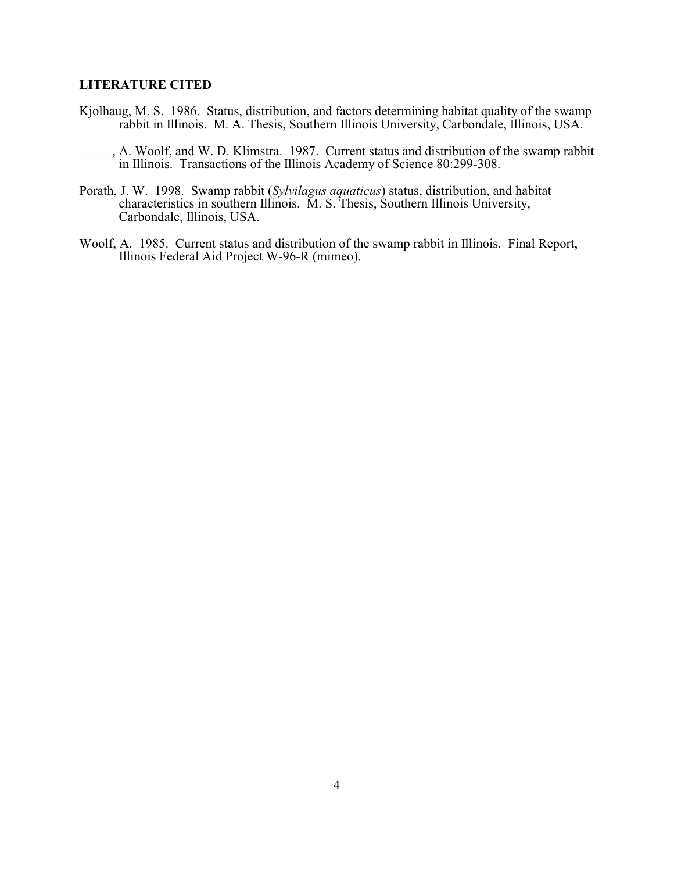#### **LITERATURE CITED**

- Kjolhaug, M. S. 1986. Status, distribution, and factors determining habitat quality of the swamp rabbit in Illinois. M. A. Thesis, Southern Illinois University, Carbondale, Illinois, USA.
- \_\_\_\_\_, A. Woolf, and W. D. Klimstra. 1987. Current status and distribution of the swamp rabbit in Illinois. Transactions of the Illinois Academy of Science 80:299-308.
- Porath, J. W. 1998. Swamp rabbit (*Sylvilagus aquaticus*) status, distribution, and habitat characteristics in southern Illinois. M. S. Thesis, Southern Illinois University, Carbondale, Illinois, USA.
- Woolf, A. 1985. Current status and distribution of the swamp rabbit in Illinois. Final Report, Illinois Federal Aid Project W-96-R (mimeo).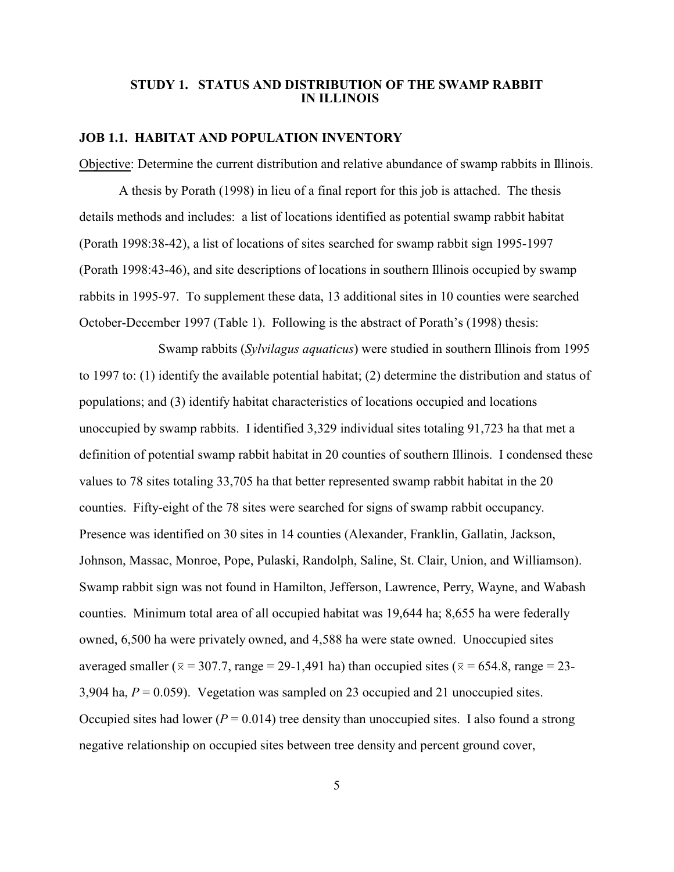#### **STUDY 1. STATUS AND DISTRIBUTION OF THE SWAMP RABBIT IN ILLINOIS**

#### **JOB 1.1. HABITAT AND POPULATION INVENTORY**

Objective: Determine the current distribution and relative abundance of swamp rabbits in Illinois.

A thesis by Porath (1998) in lieu of a final report for this job is attached. The thesis details methods and includes: a list of locations identified as potential swamp rabbit habitat (Porath 1998:38-42), a list of locations of sites searched for swamp rabbit sign 1995-1997 (Porath 1998:43-46), and site descriptions of locations in southern Illinois occupied by swamp rabbits in 1995-97. To supplement these data, 13 additional sites in 10 counties were searched October-December 1997 (Table 1). Following is the abstract of Porath's (1998) thesis:

Swamp rabbits (*Sylvilagus aquaticus*) were studied in southern Illinois from 1995 to 1997 to: (1) identify the available potential habitat; (2) determine the distribution and status of populations; and (3) identify habitat characteristics of locations occupied and locations unoccupied by swamp rabbits. I identified 3,329 individual sites totaling 91,723 ha that met a definition of potential swamp rabbit habitat in 20 counties of southern Illinois. I condensed these values to 78 sites totaling 33,705 ha that better represented swamp rabbit habitat in the 20 counties. Fifty-eight of the 78 sites were searched for signs of swamp rabbit occupancy. Presence was identified on 30 sites in 14 counties (Alexander, Franklin, Gallatin, Jackson, Johnson, Massac, Monroe, Pope, Pulaski, Randolph, Saline, St. Clair, Union, and Williamson). Swamp rabbit sign was not found in Hamilton, Jefferson, Lawrence, Perry, Wayne, and Wabash counties. Minimum total area of all occupied habitat was 19,644 ha; 8,655 ha were federally owned, 6,500 ha were privately owned, and 4,588 ha were state owned. Unoccupied sites averaged smaller ( $\bar{x}$  = 307.7, range = 29-1,491 ha) than occupied sites ( $\bar{x}$  = 654.8, range = 23-3,904 ha,  $P = 0.059$ ). Vegetation was sampled on 23 occupied and 21 unoccupied sites. Occupied sites had lower ( $P = 0.014$ ) tree density than unoccupied sites. I also found a strong negative relationship on occupied sites between tree density and percent ground cover,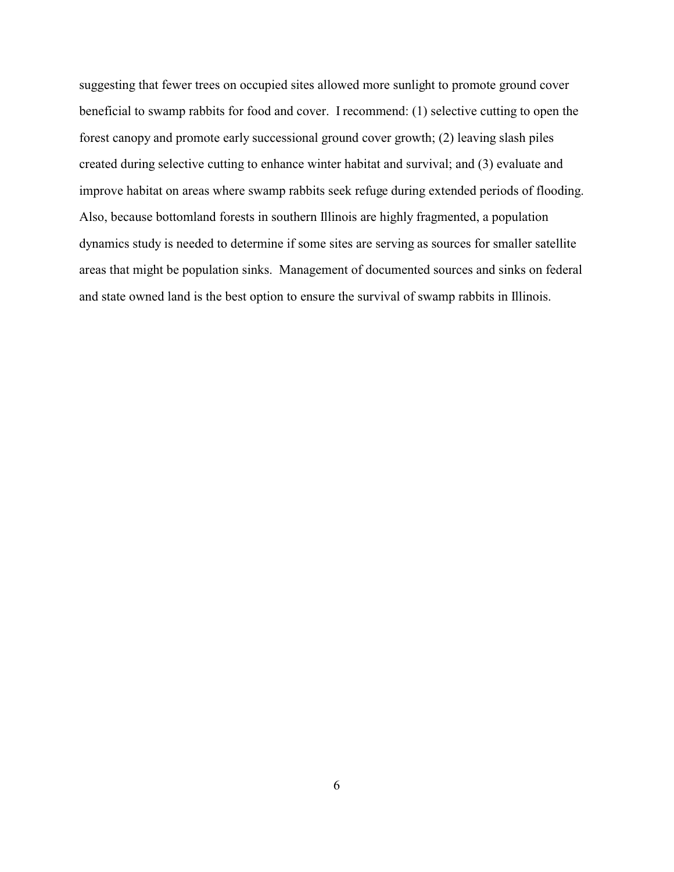suggesting that fewer trees on occupied sites allowed more sunlight to promote ground cover beneficial to swamp rabbits for food and cover. I recommend: (1) selective cutting to open the forest canopy and promote early successional ground cover growth; (2) leaving slash piles created during selective cutting to enhance winter habitat and survival; and (3) evaluate and improve habitat on areas where swamp rabbits seek refuge during extended periods of flooding. Also, because bottomland forests in southern Illinois are highly fragmented, a population dynamics study is needed to determine if some sites are serving as sources for smaller satellite areas that might be population sinks. Management of documented sources and sinks on federal and state owned land is the best option to ensure the survival of swamp rabbits in Illinois.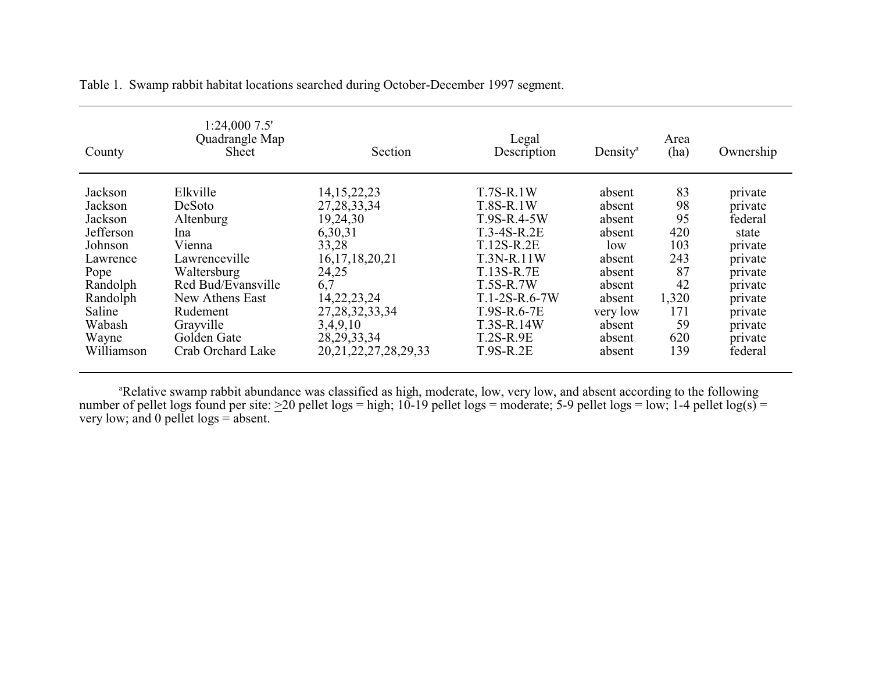| County     | 1:24,0007.5'<br>Quadrangle Map<br><b>Sheet</b> | Section                    | Legal<br>Description | Density <sup>a</sup> | Area<br>(ha) | Ownership |
|------------|------------------------------------------------|----------------------------|----------------------|----------------------|--------------|-----------|
| Jackson    | Elkville                                       | 14, 15, 22, 23             | $T.7S-R.1W$          | absent               | 83           | private   |
| Jackson    | DeSoto                                         | 27, 28, 33, 34             | T.8S-R.1W            | absent               | 98           | private   |
| Jackson    | Altenburg                                      | 19,24,30                   | T.9S-R.4-5W          | absent               | 95           | federal   |
| Jefferson  | Ina                                            | 6,30,31                    | $T.3-4S-R.2E$        | absent               | 420          | state     |
| Johnson    | Vienna                                         | 33,28                      | T.12S-R.2E           | low                  | 103          | private   |
| Lawrence   | Lawrenceville                                  | 16, 17, 18, 20, 21         | T.3N-R.11W           | absent               | 243          | private   |
| Pope       | Waltersburg                                    | 24,25                      | T.13S-R.7E           | absent               | 87           | private   |
| Randolph   | Red Bud/Evansville                             | 6,7                        | <b>T.5S-R.7W</b>     | absent               | 42           | private   |
| Randolph   | New Athens East                                | 14, 22, 23, 24             | $T.1-2S-R.6-7W$      | absent               | 1,320        | private   |
| Saline     | Rudement                                       | 27, 28, 32, 33, 34         | T.9S-R.6-7E          | very low             | 171          | private   |
| Wabash     | Grayville                                      | 3,4,9,10                   | T.3S-R.14W           | absent               | 59           | private   |
| Wayne      | Golden Gate                                    | 28, 29, 33, 34             | $T.2S-R.9E$          | absent               | 620          | private   |
| Williamson | Crab Orchard Lake                              | 20, 21, 22, 27, 28, 29, 33 | $T.9S-R.2E$          | absent               | 139          | federal   |

Table 1. Swamp rabbit habitat locations searched during October-December 1997 segment.

<sup>a</sup>Relative swamp rabbit abundance was classified as high, moderate, low, very low, and absent according to the following number of pellet logs found per site:  $\geq$ 20 pellet logs = high; 10-19 pellet logs = moderate; 5-9 pellet logs = low; 1-4 pellet log(s) = very low; and 0 pellet logs = absent.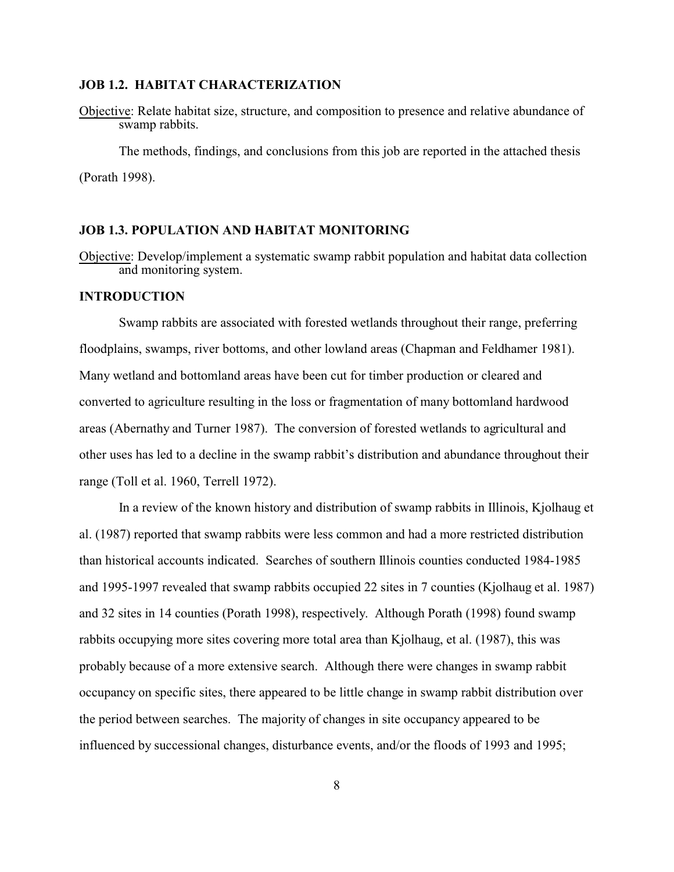#### **JOB 1.2. HABITAT CHARACTERIZATION**

Objective: Relate habitat size, structure, and composition to presence and relative abundance of swamp rabbits.

The methods, findings, and conclusions from this job are reported in the attached thesis (Porath 1998).

#### **JOB 1.3. POPULATION AND HABITAT MONITORING**

Objective: Develop/implement a systematic swamp rabbit population and habitat data collection and monitoring system.

#### **INTRODUCTION**

Swamp rabbits are associated with forested wetlands throughout their range, preferring floodplains, swamps, river bottoms, and other lowland areas (Chapman and Feldhamer 1981). Many wetland and bottomland areas have been cut for timber production or cleared and converted to agriculture resulting in the loss or fragmentation of many bottomland hardwood areas (Abernathy and Turner 1987). The conversion of forested wetlands to agricultural and other uses has led to a decline in the swamp rabbit's distribution and abundance throughout their range (Toll et al. 1960, Terrell 1972).

In a review of the known history and distribution of swamp rabbits in Illinois, Kjolhaug et al. (1987) reported that swamp rabbits were less common and had a more restricted distribution than historical accounts indicated. Searches of southern Illinois counties conducted 1984-1985 and 1995-1997 revealed that swamp rabbits occupied 22 sites in 7 counties (Kjolhaug et al. 1987) and 32 sites in 14 counties (Porath 1998), respectively. Although Porath (1998) found swamp rabbits occupying more sites covering more total area than Kjolhaug, et al. (1987), this was probably because of a more extensive search. Although there were changes in swamp rabbit occupancy on specific sites, there appeared to be little change in swamp rabbit distribution over the period between searches. The majority of changes in site occupancy appeared to be influenced by successional changes, disturbance events, and/or the floods of 1993 and 1995;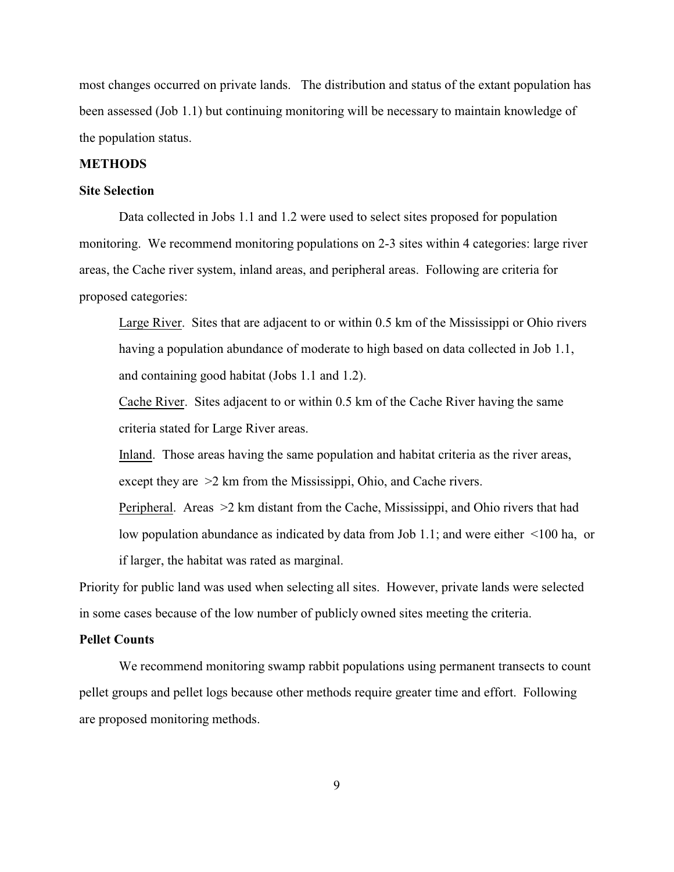most changes occurred on private lands. The distribution and status of the extant population has been assessed (Job 1.1) but continuing monitoring will be necessary to maintain knowledge of the population status.

#### **METHODS**

#### **Site Selection**

Data collected in Jobs 1.1 and 1.2 were used to select sites proposed for population monitoring. We recommend monitoring populations on 2-3 sites within 4 categories: large river areas, the Cache river system, inland areas, and peripheral areas. Following are criteria for proposed categories:

Large River. Sites that are adjacent to or within 0.5 km of the Mississippi or Ohio rivers having a population abundance of moderate to high based on data collected in Job 1.1, and containing good habitat (Jobs 1.1 and 1.2).

Cache River. Sites adjacent to or within 0.5 km of the Cache River having the same criteria stated for Large River areas.

Inland. Those areas having the same population and habitat criteria as the river areas, except they are >2 km from the Mississippi, Ohio, and Cache rivers.

Peripheral. Areas >2 km distant from the Cache, Mississippi, and Ohio rivers that had low population abundance as indicated by data from Job 1.1; and were either <100 ha, or if larger, the habitat was rated as marginal.

Priority for public land was used when selecting all sites. However, private lands were selected in some cases because of the low number of publicly owned sites meeting the criteria.

#### **Pellet Counts**

We recommend monitoring swamp rabbit populations using permanent transects to count pellet groups and pellet logs because other methods require greater time and effort. Following are proposed monitoring methods.

9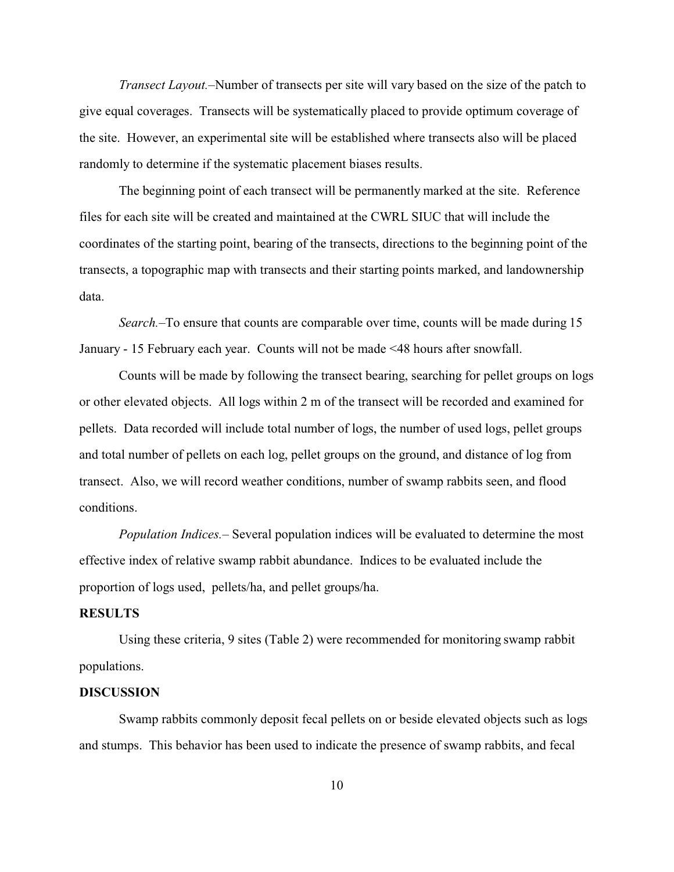*Transect Layout.–*Number of transects per site will vary based on the size of the patch to give equal coverages. Transects will be systematically placed to provide optimum coverage of the site. However, an experimental site will be established where transects also will be placed randomly to determine if the systematic placement biases results.

The beginning point of each transect will be permanently marked at the site. Reference files for each site will be created and maintained at the CWRL SIUC that will include the coordinates of the starting point, bearing of the transects, directions to the beginning point of the transects, a topographic map with transects and their starting points marked, and landownership data.

*Search.–*To ensure that counts are comparable over time, counts will be made during 15 January - 15 February each year. Counts will not be made <48 hours after snowfall.

Counts will be made by following the transect bearing, searching for pellet groups on logs or other elevated objects. All logs within 2 m of the transect will be recorded and examined for pellets. Data recorded will include total number of logs, the number of used logs, pellet groups and total number of pellets on each log, pellet groups on the ground, and distance of log from transect. Also, we will record weather conditions, number of swamp rabbits seen, and flood conditions.

*Population Indices.–* Several population indices will be evaluated to determine the most effective index of relative swamp rabbit abundance. Indices to be evaluated include the proportion of logs used, pellets/ha, and pellet groups/ha.

#### **RESULTS**

Using these criteria, 9 sites (Table 2) were recommended for monitoring swamp rabbit populations.

#### **DISCUSSION**

Swamp rabbits commonly deposit fecal pellets on or beside elevated objects such as logs and stumps. This behavior has been used to indicate the presence of swamp rabbits, and fecal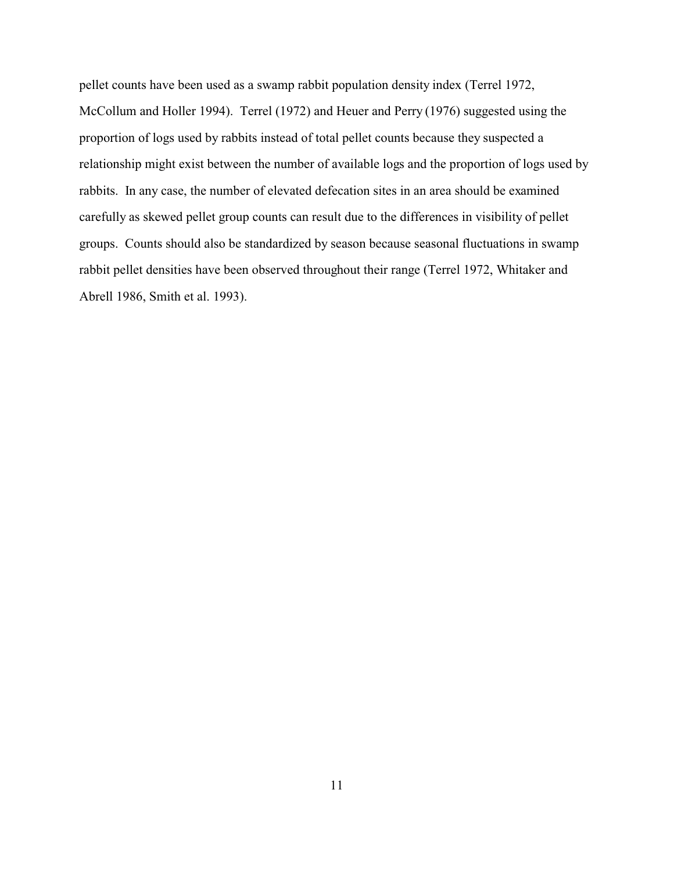pellet counts have been used as a swamp rabbit population density index (Terrel 1972, McCollum and Holler 1994). Terrel (1972) and Heuer and Perry (1976) suggested using the proportion of logs used by rabbits instead of total pellet counts because they suspected a relationship might exist between the number of available logs and the proportion of logs used by rabbits. In any case, the number of elevated defecation sites in an area should be examined carefully as skewed pellet group counts can result due to the differences in visibility of pellet groups. Counts should also be standardized by season because seasonal fluctuations in swamp rabbit pellet densities have been observed throughout their range (Terrel 1972, Whitaker and Abrell 1986, Smith et al. 1993).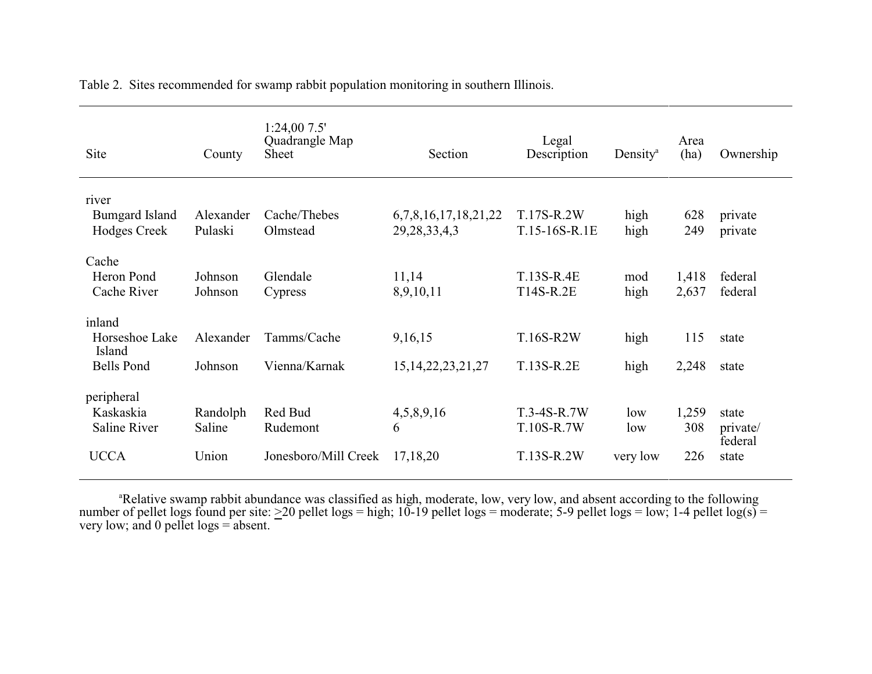| Site                                                    | County                      | 1:24,007.5'<br>Quadrangle Map<br>Sheet      | Section                                  | Legal<br>Description                      | Density <sup>a</sup>   | Area<br>(ha)        | Ownership                             |
|---------------------------------------------------------|-----------------------------|---------------------------------------------|------------------------------------------|-------------------------------------------|------------------------|---------------------|---------------------------------------|
| river<br><b>Bumgard Island</b><br>Hodges Creek          | Alexander<br>Pulaski        | Cache/Thebes<br>Olmstead                    | 6,7,8,16,17,18,21,22<br>29, 28, 33, 4, 3 | T.17S-R.2W<br>T.15-16S-R.1E               | high<br>high           | 628<br>249          | private<br>private                    |
| Cache<br>Heron Pond<br>Cache River                      | Johnson<br>Johnson          | Glendale<br>Cypress                         | 11,14<br>8,9,10,11                       | T.13S-R.4E<br>T14S-R.2E                   | mod<br>high            | 1,418<br>2,637      | federal<br>federal                    |
| inland<br>Horseshoe Lake<br>Island<br><b>Bells Pond</b> | Alexander<br>Johnson        | Tamms/Cache<br>Vienna/Karnak                | 9,16,15<br>15, 14, 22, 23, 21, 27        | T.16S-R2W<br>T.13S-R.2E                   | high<br>high           | 115<br>2,248        | state<br>state                        |
| peripheral<br>Kaskaskia<br>Saline River<br><b>UCCA</b>  | Randolph<br>Saline<br>Union | Red Bud<br>Rudemont<br>Jonesboro/Mill Creek | 4,5,8,9,16<br>6<br>17,18,20              | $T.3-4S-R.7W$<br>T.10S-R.7W<br>T.13S-R.2W | low<br>low<br>very low | 1,259<br>308<br>226 | state<br>private/<br>federal<br>state |

Table 2. Sites recommended for swamp rabbit population monitoring in southern Illinois.

<sup>a</sup>Relative swamp rabbit abundance was classified as high, moderate, low, very low, and absent according to the following number of pellet logs found per site:  $\geq$ 20 pellet logs = high; 10-19 pellet logs = moderate; 5-9 pellet logs = low; 1-4 pellet log(s) = very low; and 0 pellet logs = absent.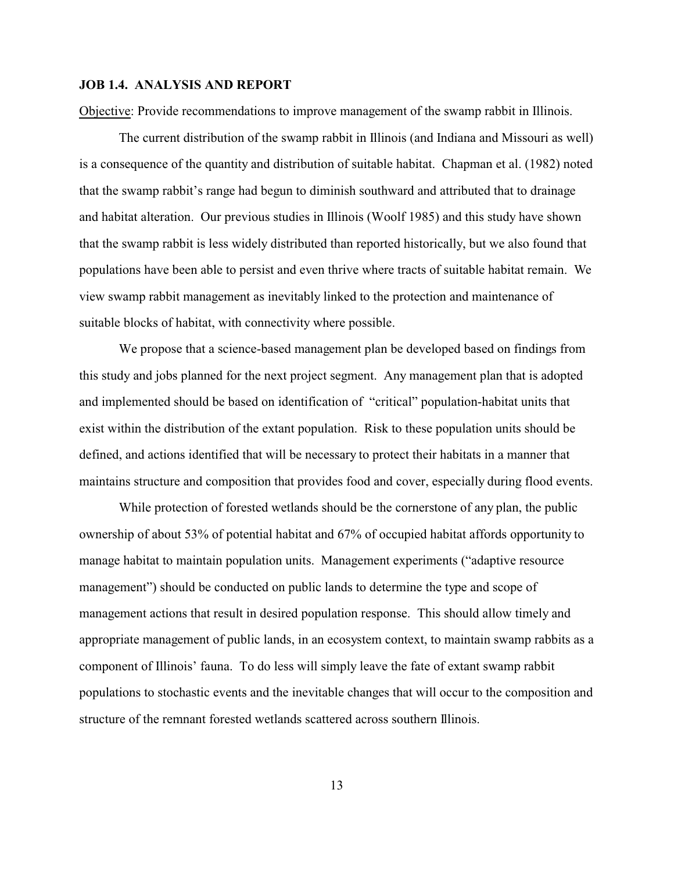#### **JOB 1.4. ANALYSIS AND REPORT**

Objective: Provide recommendations to improve management of the swamp rabbit in Illinois.

The current distribution of the swamp rabbit in Illinois (and Indiana and Missouri as well) is a consequence of the quantity and distribution of suitable habitat. Chapman et al. (1982) noted that the swamp rabbit's range had begun to diminish southward and attributed that to drainage and habitat alteration. Our previous studies in Illinois (Woolf 1985) and this study have shown that the swamp rabbit is less widely distributed than reported historically, but we also found that populations have been able to persist and even thrive where tracts of suitable habitat remain. We view swamp rabbit management as inevitably linked to the protection and maintenance of suitable blocks of habitat, with connectivity where possible.

We propose that a science-based management plan be developed based on findings from this study and jobs planned for the next project segment. Any management plan that is adopted and implemented should be based on identification of "critical" population-habitat units that exist within the distribution of the extant population. Risk to these population units should be defined, and actions identified that will be necessary to protect their habitats in a manner that maintains structure and composition that provides food and cover, especially during flood events.

While protection of forested wetlands should be the cornerstone of any plan, the public ownership of about 53% of potential habitat and 67% of occupied habitat affords opportunity to manage habitat to maintain population units. Management experiments ("adaptive resource management") should be conducted on public lands to determine the type and scope of management actions that result in desired population response. This should allow timely and appropriate management of public lands, in an ecosystem context, to maintain swamp rabbits as a component of Illinois' fauna. To do less will simply leave the fate of extant swamp rabbit populations to stochastic events and the inevitable changes that will occur to the composition and structure of the remnant forested wetlands scattered across southern Illinois.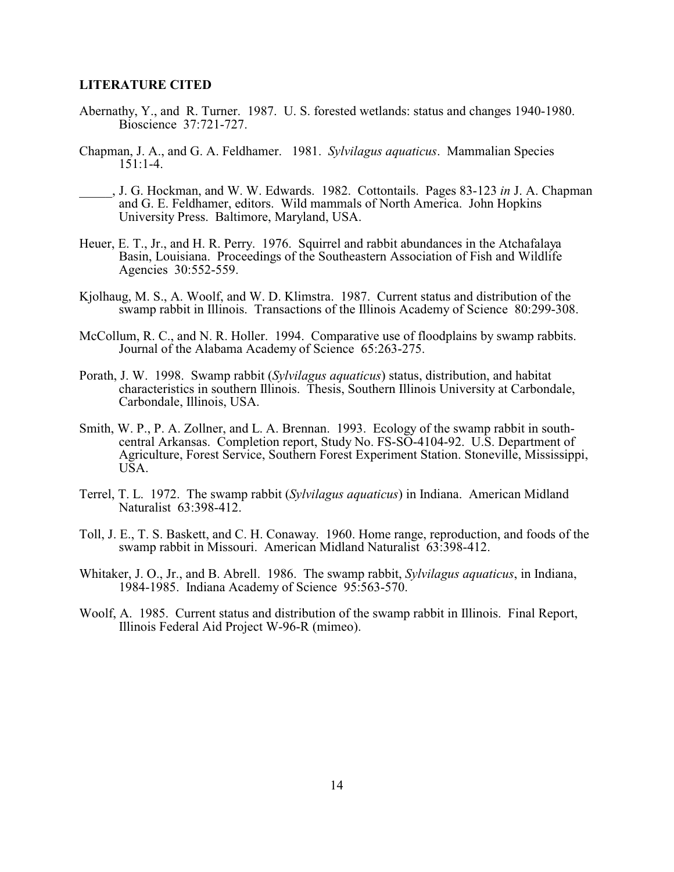#### **LITERATURE CITED**

- Abernathy, Y., and R. Turner. 1987. U. S. forested wetlands: status and changes 1940-1980. Bioscience 37:721-727.
- Chapman, J. A., and G. A. Feldhamer. 1981. *Sylvilagus aquaticus*. Mammalian Species 151:1-4.
- \_\_\_\_\_, J. G. Hockman, and W. W. Edwards. 1982. Cottontails. Pages 83-123 *in* J. A. Chapman and G. E. Feldhamer, editors. Wild mammals of North America. John Hopkins University Press. Baltimore, Maryland, USA.
- Heuer, E. T., Jr., and H. R. Perry. 1976. Squirrel and rabbit abundances in the Atchafalaya Basin, Louisiana. Proceedings of the Southeastern Association of Fish and Wildlife Agencies 30:552-559.
- Kjolhaug, M. S., A. Woolf, and W. D. Klimstra. 1987. Current status and distribution of the swamp rabbit in Illinois. Transactions of the Illinois Academy of Science 80:299-308.
- McCollum, R. C., and N. R. Holler. 1994. Comparative use of floodplains by swamp rabbits. Journal of the Alabama Academy of Science 65:263-275.
- Porath, J. W. 1998. Swamp rabbit (*Sylvilagus aquaticus*) status, distribution, and habitat characteristics in southern Illinois. Thesis, Southern Illinois University at Carbondale, Carbondale, Illinois, USA.
- Smith, W. P., P. A. Zollner, and L. A. Brennan. 1993. Ecology of the swamp rabbit in southcentral Arkansas. Completion report, Study No. FS-SO-4104-92. U.S. Department of Agriculture, Forest Service, Southern Forest Experiment Station. Stoneville, Mississippi, USA.
- Terrel, T. L. 1972. The swamp rabbit (*Sylvilagus aquaticus*) in Indiana. American Midland Naturalist 63:398-412.
- Toll, J. E., T. S. Baskett, and C. H. Conaway. 1960. Home range, reproduction, and foods of the swamp rabbit in Missouri. American Midland Naturalist 63:398-412.
- Whitaker, J. O., Jr., and B. Abrell. 1986. The swamp rabbit, *Sylvilagus aquaticus*, in Indiana, 1984-1985. Indiana Academy of Science 95:563-570.
- Woolf, A. 1985. Current status and distribution of the swamp rabbit in Illinois. Final Report, Illinois Federal Aid Project W-96-R (mimeo).